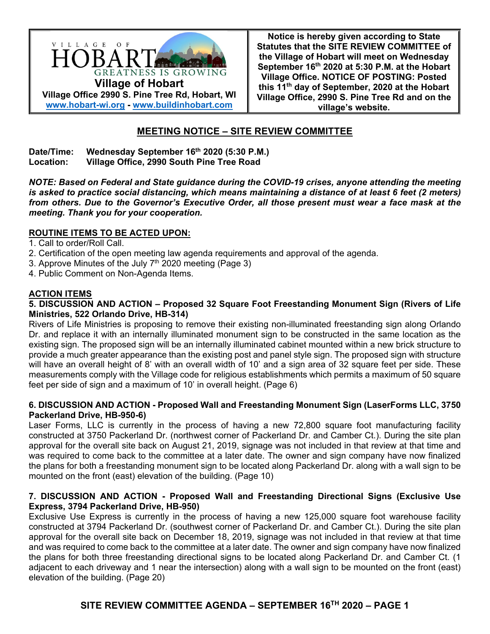

**Notice is hereby given according to State Statutes that the SITE REVIEW COMMITTEE of the Village of Hobart will meet on Wednesday September 16th 2020 at 5:30 P.M. at the Hobart Village Office. NOTICE OF POSTING: Posted this 11th day of September, 2020 at the Hobart Village Office, 2990 S. Pine Tree Rd and on the village's website.**

# **MEETING NOTICE – SITE REVIEW COMMITTEE**

#### Date/Time: Wednesday September 16<sup>th</sup> 2020 (5:30 P.M.) **Location: Village Office, 2990 South Pine Tree Road**

*NOTE: Based on Federal and State guidance during the COVID-19 crises, anyone attending the meeting is asked to practice social distancing, which means maintaining a distance of at least 6 feet (2 meters) from others. Due to the Governor's Executive Order, all those present must wear a face mask at the meeting. Thank you for your cooperation.* 

### **ROUTINE ITEMS TO BE ACTED UPON:**

1. Call to order/Roll Call.

- 2. Certification of the open meeting law agenda requirements and approval of the agenda.
- 3. Approve Minutes of the July  $7<sup>th</sup>$  2020 meeting (Page 3)
- 4. Public Comment on Non-Agenda Items.

### **ACTION ITEMS**

#### **5. DISCUSSION AND ACTION – Proposed 32 Square Foot Freestanding Monument Sign (Rivers of Life Ministries, 522 Orlando Drive, HB-314)**

Rivers of Life Ministries is proposing to remove their existing non-illuminated freestanding sign along Orlando Dr. and replace it with an internally illuminated monument sign to be constructed in the same location as the existing sign. The proposed sign will be an internally illuminated cabinet mounted within a new brick structure to provide a much greater appearance than the existing post and panel style sign. The proposed sign with structure will have an overall height of 8' with an overall width of 10' and a sign area of 32 square feet per side. These measurements comply with the Village code for religious establishments which permits a maximum of 50 square feet per side of sign and a maximum of 10' in overall height. (Page 6)

#### **6. DISCUSSION AND ACTION - Proposed Wall and Freestanding Monument Sign (LaserForms LLC, 3750 Packerland Drive, HB-950-6)**

Laser Forms, LLC is currently in the process of having a new 72,800 square foot manufacturing facility constructed at 3750 Packerland Dr. (northwest corner of Packerland Dr. and Camber Ct.). During the site plan approval for the overall site back on August 21, 2019, signage was not included in that review at that time and was required to come back to the committee at a later date. The owner and sign company have now finalized the plans for both a freestanding monument sign to be located along Packerland Dr. along with a wall sign to be mounted on the front (east) elevation of the building. (Page 10)

#### **7. DISCUSSION AND ACTION - Proposed Wall and Freestanding Directional Signs (Exclusive Use Express, 3794 Packerland Drive, HB-950)**

Exclusive Use Express is currently in the process of having a new 125,000 square foot warehouse facility constructed at 3794 Packerland Dr. (southwest corner of Packerland Dr. and Camber Ct.). During the site plan approval for the overall site back on December 18, 2019, signage was not included in that review at that time and was required to come back to the committee at a later date. The owner and sign company have now finalized the plans for both three freestanding directional signs to be located along Packerland Dr. and Camber Ct. (1 adjacent to each driveway and 1 near the intersection) along with a wall sign to be mounted on the front (east) elevation of the building. (Page 20)